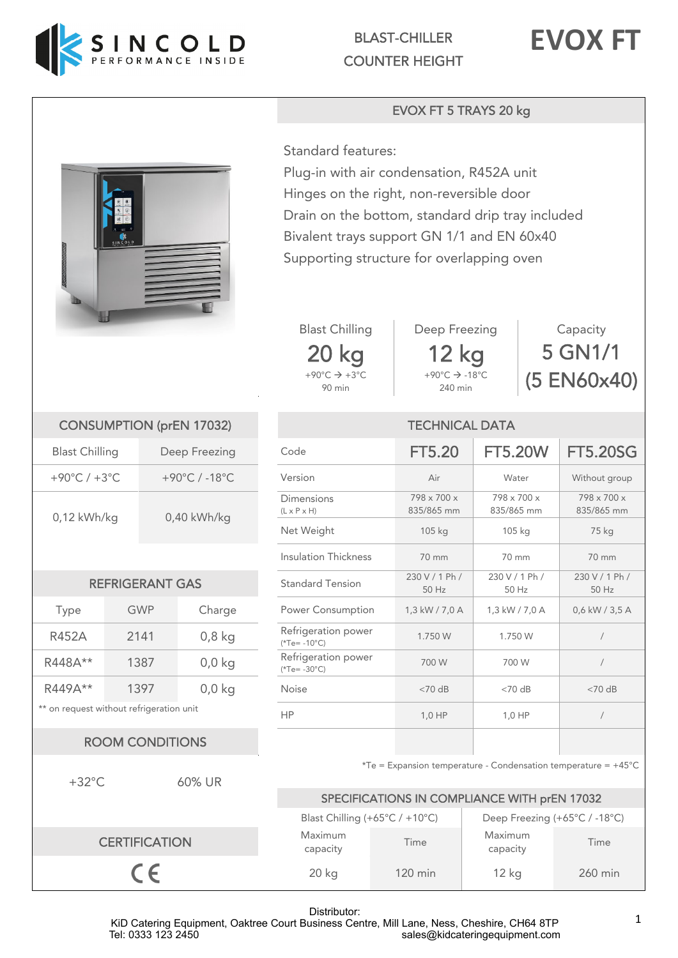

BLAST-CHILLER COUNTER HEIGHT



## EVOX FT 5 TRAYS 20 kg



Standard features:

Plug-in with air condensation, R452A unit Hinges on the right, non-reversible door Drain on the bottom, standard drip tray included Bivalent trays support GN 1/1 and EN 60x40 Supporting structure for overlapping oven





240 min

| Capacity    |
|-------------|
| 5 GN1/1     |
| (5 EN60x40) |

| <b>CONSUMPTION (prEN 17032)</b> |                 |  |  |  |
|---------------------------------|-----------------|--|--|--|
| <b>Blast Chilling</b>           | Deep Freezing   |  |  |  |
| +90°C / +3°C                    | +90°C $/$ -18°C |  |  |  |
| $0,12$ kWh/kg                   | 0,40 kWh/kg     |  |  |  |

| <b>REFRIGERANT GAS</b> |  |
|------------------------|--|

| Type      | GWP  | Charge   | <b>Power Consumption</b>               |
|-----------|------|----------|----------------------------------------|
| R452A     | 2141 | $0,8$ kg | Refrigeration power<br>$(*Te = -10°C)$ |
| R448A**   | 1387 | $0,0$ kg | Refrigeration power<br>$(*Te = -30°C)$ |
| $R449A**$ | 1397 | $0,0$ kg | <b>Noise</b>                           |

## ROOM CONDITIONS

+32°C 60% UR **CERTIFICATION**  $C \in$ 

| <b>CONSUMPTION (prEN 17032)</b>         |                          |                                       | <b>TECHNICAL DATA</b>     |                                        |                           |                |                |
|-----------------------------------------|--------------------------|---------------------------------------|---------------------------|----------------------------------------|---------------------------|----------------|----------------|
| <b>Blast Chilling</b><br>Deep Freezing  |                          | Code                                  | <b>FT5.20</b>             | <b>FT5.20W</b>                         | <b>FT5.20SG</b>           |                |                |
| +90°C / $+3$ °C<br>+90°C / -18°C        |                          | Version                               | Air                       | Water                                  | Without group             |                |                |
| $0,12$ kWh/kg<br>$0,40$ kWh/kg          |                          | Dimensions<br>$(L \times P \times H)$ | 798 x 700 x<br>835/865 mm | 798 x 700 x<br>835/865 mm              | 798 x 700 x<br>835/865 mm |                |                |
|                                         |                          |                                       | Net Weight                | 105 kg                                 | 105 kg                    | 75 kg          |                |
|                                         |                          | <b>Insulation Thickness</b>           | 70 mm                     | 70 mm                                  | 70 mm                     |                |                |
| <b>REFRIGERANT GAS</b>                  |                          | <b>Standard Tension</b>               | 230 V / 1 Ph /<br>50 Hz   | 230 V / 1 Ph /<br>50 Hz                | 230 V / 1 Ph /<br>50 Hz   |                |                |
| <b>Type</b>                             |                          | <b>GWP</b>                            | Charge                    | Power Consumption                      | 1,3 kW / 7,0 A            | 1,3 kW / 7,0 A | 0,6 kW / 3,5 A |
| <b>R452A</b>                            | 2141                     |                                       | $0,8$ kg                  | Refrigeration power<br>$(*Te = -10°C)$ | 1.750 W                   | 1.750 W        |                |
| R448A**                                 |                          | 1387                                  | $0,0$ kg                  | Refrigeration power<br>$(*Te = -30°C)$ | 700 W                     | 700 W          |                |
| R449A**                                 |                          | 1397                                  | $0,0$ kg                  | Noise                                  | $< 70$ dB                 | $<$ 70 dB      | $<$ 70 dB      |
| * on request without refrigeration unit |                          | <b>HP</b>                             | $1,0$ HP                  | 1,0 HP                                 |                           |                |                |
|                                         | <b>DOOLLOONIDITIONIC</b> |                                       |                           |                                        |                           |                |                |

 $*Te =$  Expansion temperature - Condensation temperature =  $+45^{\circ}$ C

## SPECIFICATIONS IN COMPLIANCE WITH prEN 17032

|                     | Blast Chilling (+65°C / +10°C) | Deep Freezing (+65°C / -18°C) |         |  |
|---------------------|--------------------------------|-------------------------------|---------|--|
| Maximum<br>capacity | Time                           | Maximum<br>capacity           | Time    |  |
| $20$ kg             | $120 \text{ min}$              | $12$ kg                       | 260 min |  |

### Distributor:

KiD Catering Equipment, Oaktree Court Business Centre, Mill Lane, Ness, Cheshire, CH64 8TP Tel: 0333 123 2450 sales@kidcateringequipment.com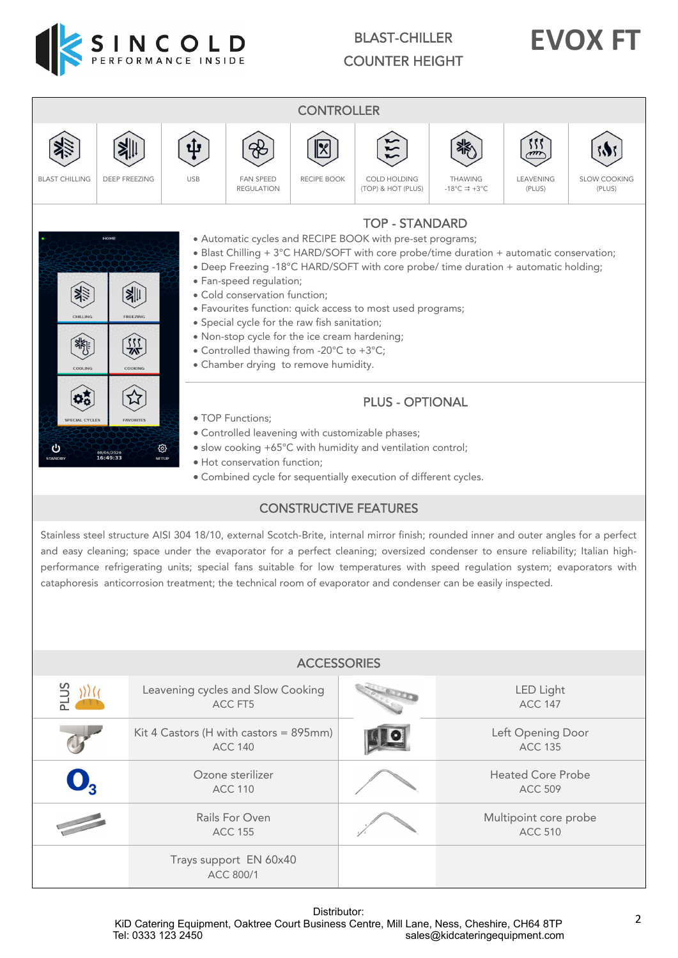

# BLAST-CHILLER COUNTER HEIGHT

# **EVOX FT**



### Distributor: